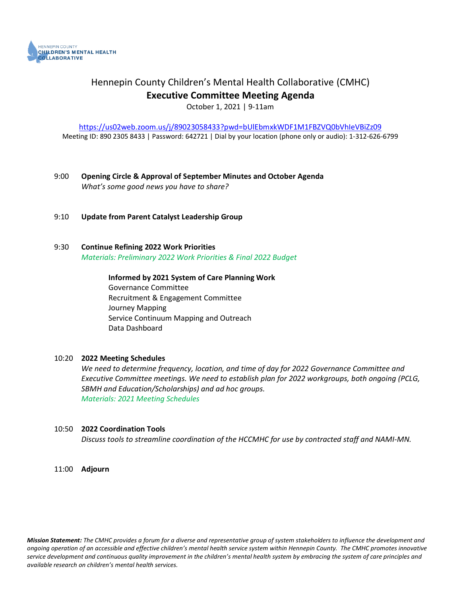

## Hennepin County Children's Mental Health Collaborative (CMHC) **Executive Committee Meeting Agenda**

October 1, 2021 | 9-11am

<https://us02web.zoom.us/j/89023058433?pwd=bUlEbmxkWDF1M1FBZVQ0bVhIeVBiZz09> Meeting ID: 890 2305 8433 | Password: 642721 | Dial by your location (phone only or audio): 1-312-626-6799

- 9:00 **Opening Circle & Approval of September Minutes and October Agenda** *What's some good news you have to share?*
- 9:10 **Update from Parent Catalyst Leadership Group**
- 9:30 **Continue Refining 2022 Work Priorities** *Materials: Preliminary 2022 Work Priorities & Final 2022 Budget*

**Informed by 2021 System of Care Planning Work**  Governance Committee Recruitment & Engagement Committee Journey Mapping Service Continuum Mapping and Outreach Data Dashboard

### 10:20 **2022 Meeting Schedules**

*We need to determine frequency, location, and time of day for 2022 Governance Committee and Executive Committee meetings. We need to establish plan for 2022 workgroups, both ongoing (PCLG, SBMH and Education/Scholarships) and ad hoc groups. Materials: 2021 Meeting Schedules* 

#### 10:50 **2022 Coordination Tools**

*Discuss tools to streamline coordination of the HCCMHC for use by contracted staff and NAMI-MN.*

11:00 **Adjourn**

*Mission Statement: The CMHC provides a forum for a diverse and representative group of system stakeholders to influence the development and ongoing operation of an accessible and effective children's mental health service system within Hennepin County. The CMHC promotes innovative service development and continuous quality improvement in the children's mental health system by embracing the system of care principles and available research on children's mental health services.*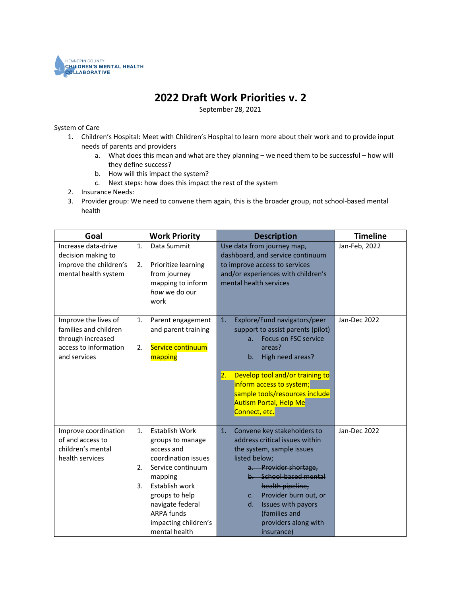

### **2022 Draft Work Priorities v. 2**

September 28, 2021

#### System of Care

- 1. Children's Hospital: Meet with Children's Hospital to learn more about their work and to provide input needs of parents and providers
	- a. What does this mean and what are they planning we need them to be successful how will they define success?
	- b. How will this impact the system?
	- c. Next steps: how does this impact the rest of the system
- 2. Insurance Needs:
- 3. Provider group: We need to convene them again, this is the broader group, not school-based mental health

| Goal                                                                                                        |                | <b>Work Priority</b>                                                                                                                                                                                                                 | <b>Description</b>                                                                                                                                                                                                                                                                                                         | <b>Timeline</b> |
|-------------------------------------------------------------------------------------------------------------|----------------|--------------------------------------------------------------------------------------------------------------------------------------------------------------------------------------------------------------------------------------|----------------------------------------------------------------------------------------------------------------------------------------------------------------------------------------------------------------------------------------------------------------------------------------------------------------------------|-----------------|
| Increase data-drive<br>decision making to<br>improve the children's<br>mental health system                 | 1.<br>2.       | Data Summit<br>Prioritize learning<br>from journey<br>mapping to inform<br>how we do our<br>work                                                                                                                                     | Use data from journey map,<br>dashboard, and service continuum<br>to improve access to services<br>and/or experiences with children's<br>mental health services                                                                                                                                                            | Jan-Feb, 2022   |
| Improve the lives of<br>families and children<br>through increased<br>access to information<br>and services | 1.<br>2.       | Parent engagement<br>and parent training<br>Service continuum<br>mapping                                                                                                                                                             | Explore/Fund navigators/peer<br>1.<br>support to assist parents (pilot)<br>Focus on FSC service<br>$a_{-}$<br>areas?<br>High need areas?<br>$b_{-}$<br>Develop tool and/or training to<br>$\overline{2}$ .<br>inform access to system;<br>sample tools/resources include<br><b>Autism Portal, Help Me</b><br>Connect, etc. | Jan-Dec 2022    |
| Improve coordination<br>of and access to<br>children's mental<br>health services                            | 1.<br>2.<br>3. | <b>Establish Work</b><br>groups to manage<br>access and<br>coordination issues<br>Service continuum<br>mapping<br>Establish work<br>groups to help<br>navigate federal<br><b>ARPA funds</b><br>impacting children's<br>mental health | 1.<br>Convene key stakeholders to<br>address critical issues within<br>the system, sample issues<br>listed below;<br>a. Provider shortage,<br>b. School-based mental<br>health pipeline,<br>c. Provider burn out, or<br>Issues with payors<br>d.<br>(families and<br>providers along with<br>insurance)                    | Jan-Dec 2022    |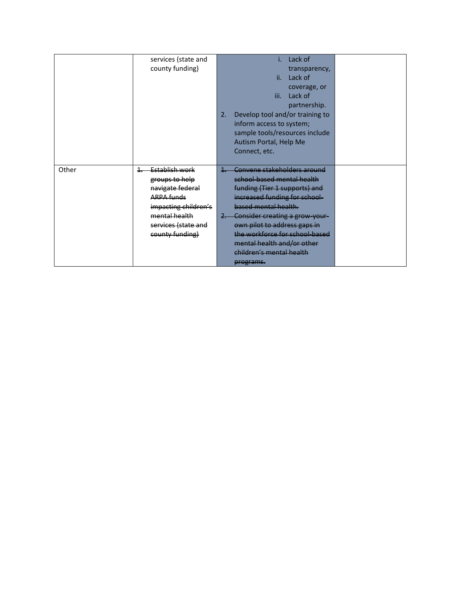|       | services (state and  | Lack of                               |  |
|-------|----------------------|---------------------------------------|--|
|       | county funding)      | transparency,                         |  |
|       |                      | ii. Lack of                           |  |
|       |                      | coverage, or                          |  |
|       |                      | iii.<br>Lack of                       |  |
|       |                      | partnership.                          |  |
|       |                      | Develop tool and/or training to<br>2. |  |
|       |                      | inform access to system;              |  |
|       |                      | sample tools/resources include        |  |
|       |                      | Autism Portal, Help Me                |  |
|       |                      | Connect, etc.                         |  |
|       |                      |                                       |  |
| Other | Establish work       | Convene stakeholders around           |  |
|       | groups to help       | school-based mental health            |  |
|       | navigate federal     | funding (Tier 1 supports) and         |  |
|       | <b>ARPA funds</b>    | increased funding for school-         |  |
|       | impacting children's | based mental health.                  |  |
|       | mental health        | 2. Consider creating a grow-your-     |  |
|       | services (state and  | own pilot to address gaps in          |  |
|       | county funding)      | the workforce for school-based        |  |
|       |                      | mental health and/or other            |  |
|       |                      | children's mental health              |  |
|       |                      | programs.                             |  |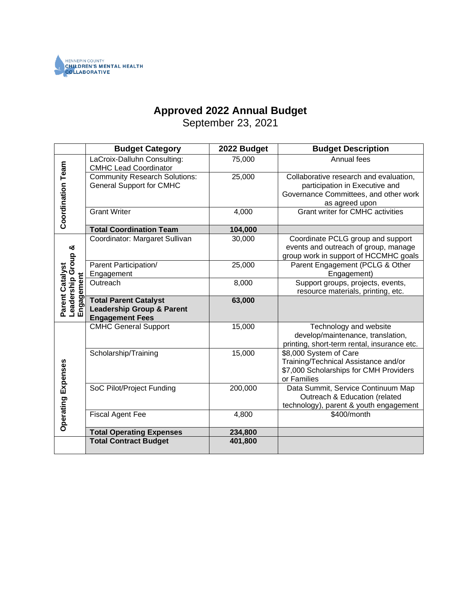

# **Approved 2022 Annual Budget**

September 23, 2021

|                                                     | <b>Budget Category</b>                                                                         | 2022 Budget | <b>Budget Description</b>                                                                                                           |
|-----------------------------------------------------|------------------------------------------------------------------------------------------------|-------------|-------------------------------------------------------------------------------------------------------------------------------------|
|                                                     | LaCroix-Dalluhn Consulting:<br><b>CMHC Lead Coordinator</b>                                    | 75,000      | Annual fees                                                                                                                         |
| <b>Coordination Team</b>                            | <b>Community Research Solutions:</b><br><b>General Support for CMHC</b>                        | 25,000      | Collaborative research and evaluation,<br>participation in Executive and<br>Governance Committees, and other work<br>as agreed upon |
|                                                     | <b>Grant Writer</b>                                                                            | 4,000       | <b>Grant writer for CMHC activities</b>                                                                                             |
|                                                     | <b>Total Coordination Team</b>                                                                 | 104,000     |                                                                                                                                     |
|                                                     | Coordinator: Margaret Sullivan                                                                 | 30,000      | Coordinate PCLG group and support<br>events and outreach of group, manage<br>group work in support of HCCMHC goals                  |
|                                                     | Parent Participation/<br>Engagement                                                            | 25,000      | Parent Engagement (PCLG & Other<br>Engagement)                                                                                      |
|                                                     | Outreach                                                                                       | 8,000       | Support groups, projects, events,<br>resource materials, printing, etc.                                                             |
| Leadership Group &<br>Parent Catalyst<br>Engagement | <b>Total Parent Catalyst</b><br><b>Leadership Group &amp; Parent</b><br><b>Engagement Fees</b> | 63,000      |                                                                                                                                     |
|                                                     | <b>CMHC General Support</b>                                                                    | 15,000      | Technology and website<br>develop/maintenance, translation,<br>printing, short-term rental, insurance etc.                          |
| Operating Expenses                                  | Scholarship/Training                                                                           | 15,000      | \$8,000 System of Care<br>Training/Technical Assistance and/or<br>\$7,000 Scholarships for CMH Providers<br>or Families             |
|                                                     | SoC Pilot/Project Funding                                                                      | 200,000     | Data Summit, Service Continuum Map<br>Outreach & Education (related<br>technology), parent & youth engagement                       |
|                                                     | <b>Fiscal Agent Fee</b>                                                                        | 4,800       | \$400/month                                                                                                                         |
|                                                     | <b>Total Operating Expenses</b>                                                                | 234,800     |                                                                                                                                     |
|                                                     | <b>Total Contract Budget</b>                                                                   | 401,800     |                                                                                                                                     |